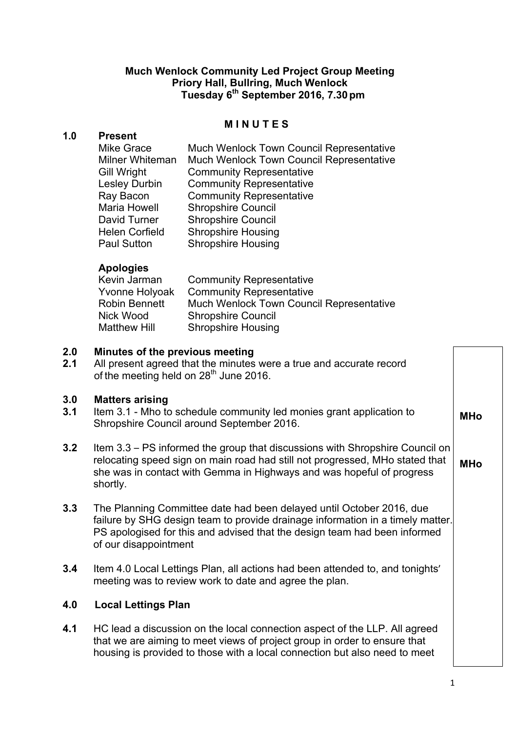# **Much Wenlock Community Led Project Group Meeting Priory Hall, Bullring, Much Wenlock Tuesday 6th September 2016, 7.30pm**

#### **M I N U T E S**

## **1.0 Present**

| <b>Mike Grace</b>     | <b>Much Wenlock Town Council Representative</b> |
|-----------------------|-------------------------------------------------|
| Milner Whiteman       | <b>Much Wenlock Town Council Representative</b> |
| <b>Gill Wright</b>    | <b>Community Representative</b>                 |
| <b>Lesley Durbin</b>  | <b>Community Representative</b>                 |
| Ray Bacon             | <b>Community Representative</b>                 |
| Maria Howell          | <b>Shropshire Council</b>                       |
| David Turner          | <b>Shropshire Council</b>                       |
| <b>Helen Corfield</b> | <b>Shropshire Housing</b>                       |
| <b>Paul Sutton</b>    | <b>Shropshire Housing</b>                       |

## **Apologies**

| Kevin Jarman   | <b>Community Representative</b>          |
|----------------|------------------------------------------|
| Yvonne Holyoak | <b>Community Representative</b>          |
| Robin Bennett  | Much Wenlock Town Council Representative |
| Nick Wood      | <b>Shropshire Council</b>                |
| Matthew Hill   | <b>Shropshire Housing</b>                |

#### **2.0 Minutes of the previous meeting**

**2.1** All present agreed that the minutes were a true and accurate record of the meeting held on 28<sup>th</sup> June 2016.

# **3.0 Matters arising**

- **3.1** Item 3.1 Mho to schedule community led monies grant application to Shropshire Council around September 2016.
- **3.2** Item 3.3 PS informed the group that discussions with Shropshire Council on relocating speed sign on main road had still not progressed, MHo stated that she was in contact with Gemma in Highways and was hopeful of progress shortly. **MHo**
- **3.3** The Planning Committee date had been delayed until October 2016, due failure by SHG design team to provide drainage information in a timely matter. PS apologised for this and advised that the design team had been informed of our disappointment
- **3.4** Item 4.0 Local Lettings Plan, all actions had been attended to, and tonights' meeting was to review work to date and agree the plan.

## **4.0 Local Lettings Plan**

**4.1** HC lead a discussion on the local connection aspect of the LLP. All agreed that we are aiming to meet views of project group in order to ensure that housing is provided to those with a local connection but also need to meet

**MHo**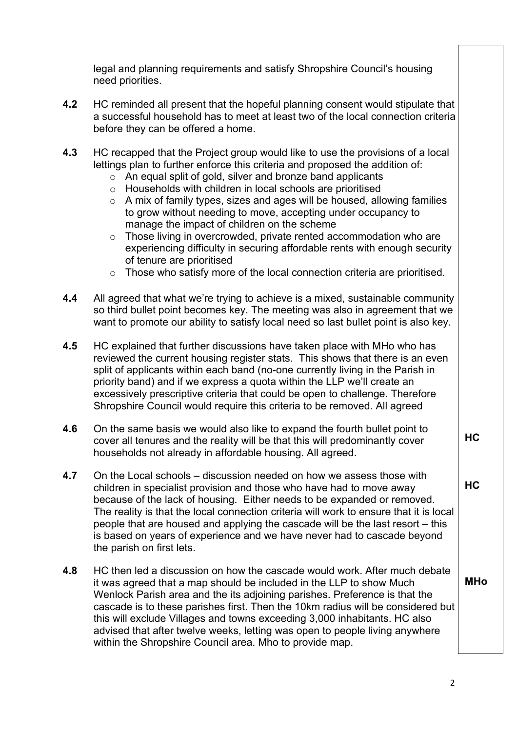legal and planning requirements and satisfy Shropshire Council's housing need priorities.

- **4.2** HC reminded all present that the hopeful planning consent would stipulate that a successful household has to meet at least two of the local connection criteria before they can be offered a home.
- **4.3** HC recapped that the Project group would like to use the provisions of a local lettings plan to further enforce this criteria and proposed the addition of:
	- $\circ$  An equal split of gold, silver and bronze band applicants
	- o Households with children in local schools are prioritised
	- o A mix of family types, sizes and ages will be housed, allowing families to grow without needing to move, accepting under occupancy to manage the impact of children on the scheme
	- o Those living in overcrowded, private rented accommodation who are experiencing difficulty in securing affordable rents with enough security of tenure are prioritised
	- o Those who satisfy more of the local connection criteria are prioritised.
- **4.4** All agreed that what we're trying to achieve is a mixed, sustainable community so third bullet point becomes key. The meeting was also in agreement that we want to promote our ability to satisfy local need so last bullet point is also key.
- **4.5** HC explained that further discussions have taken place with MHo who has reviewed the current housing register stats. This shows that there is an even split of applicants within each band (no-one currently living in the Parish in priority band) and if we express a quota within the LLP we'll create an excessively prescriptive criteria that could be open to challenge. Therefore Shropshire Council would require this criteria to be removed. All agreed
- **4.6** On the same basis we would also like to expand the fourth bullet point to cover all tenures and the reality will be that this will predominantly cover households not already in affordable housing. All agreed.
- **4.7** On the Local schools discussion needed on how we assess those with children in specialist provision and those who have had to move away because of the lack of housing. Either needs to be expanded or removed. The reality is that the local connection criteria will work to ensure that it is local people that are housed and applying the cascade will be the last resort – this is based on years of experience and we have never had to cascade beyond the parish on first lets.
- **4.8** HC then led a discussion on how the cascade would work. After much debate it was agreed that a map should be included in the LLP to show Much Wenlock Parish area and the its adjoining parishes. Preference is that the cascade is to these parishes first. Then the 10km radius will be considered but this will exclude Villages and towns exceeding 3,000 inhabitants. HC also advised that after twelve weeks, letting was open to people living anywhere within the Shropshire Council area. Mho to provide map.

**MHo**

**HC**

**HC**